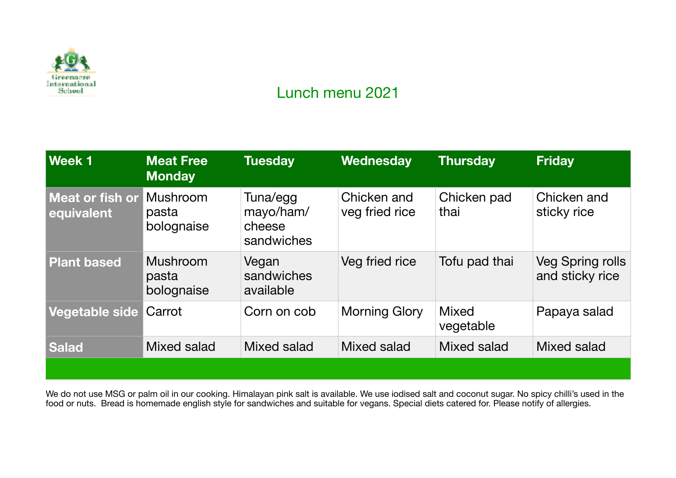

## Lunch menu 2021

| Week 1                        | <b>Meat Free</b><br><b>Monday</b>      | <b>Tuesday</b>                                | Wednesday                     | <b>Thursday</b>           | <b>Friday</b>                              |
|-------------------------------|----------------------------------------|-----------------------------------------------|-------------------------------|---------------------------|--------------------------------------------|
| Meat or fish or<br>equivalent | Mushroom<br>pasta<br>bolognaise        | Tuna/egg<br>mayo/ham/<br>cheese<br>sandwiches | Chicken and<br>veg fried rice | Chicken pad<br>thai       | Chicken and<br>sticky rice                 |
| <b>Plant based</b>            | <b>Mushroom</b><br>pasta<br>bolognaise | Vegan<br>sandwiches<br>available              | Veg fried rice                | Tofu pad thai             | <b>Veg Spring rolls</b><br>and sticky rice |
| Vegetable side                | Carrot                                 | Corn on cob                                   | Morning Glory                 | <b>Mixed</b><br>vegetable | Papaya salad                               |
| <b>Salad</b>                  | Mixed salad                            | Mixed salad                                   | Mixed salad                   | Mixed salad               | Mixed salad                                |
|                               |                                        |                                               |                               |                           |                                            |

We do not use MSG or palm oil in our cooking. Himalayan pink salt is available. We use iodised salt and coconut sugar. No spicy chilli's used in the food or nuts. Bread is homemade english style for sandwiches and suitable for vegans. Special diets catered for. Please notify of allergies.